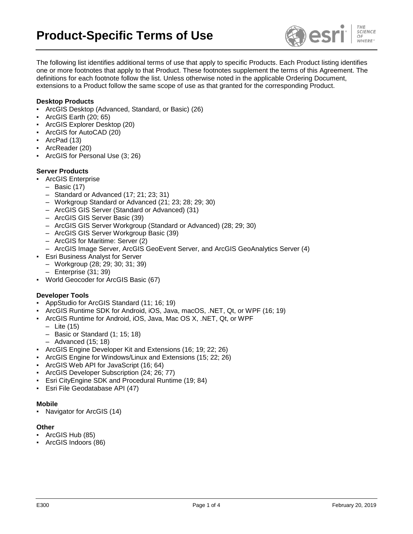

The following list identifies additional terms of use that apply to specific Products. Each Product listing identifies one or more footnotes that apply to that Product. These footnotes supplement the terms of this Agreement. The definitions for each footnote follow the list. Unless otherwise noted in the applicable Ordering Document, extensions to a Product follow the same scope of use as that granted for the corresponding Product.

### **Desktop Products**

- ArcGIS Desktop (Advanced, Standard, or Basic) (26)
- ArcGIS Earth (20; 65)
- ArcGIS Explorer Desktop (20)
- ArcGIS for AutoCAD (20)
- ArcPad (13)
- ArcReader (20)
- ArcGIS for Personal Use (3; 26)

## **Server Products**

- **ArcGIS Enterprise** 
	- Basic (17)
	- Standard or Advanced (17; 21; 23; 31)
	- Workgroup Standard or Advanced (21; 23; 28; 29; 30)
	- ArcGIS GIS Server (Standard or Advanced) (31)
	- ArcGIS GIS Server Basic (39)
	- ArcGIS GIS Server Workgroup (Standard or Advanced) (28; 29; 30)
	- ArcGIS GIS Server Workgroup Basic (39)
	- ArcGIS for Maritime: Server (2)
	- ArcGIS Image Server, ArcGIS GeoEvent Server, and ArcGIS GeoAnalytics Server (4)
- **Esri Business Analyst for Server** 
	- Workgroup (28; 29; 30; 31; 39)
	- Enterprise (31; 39)
- World Geocoder for ArcGIS Basic (67)

#### **Developer Tools**

- AppStudio for ArcGIS Standard (11; 16; 19)
- ArcGIS Runtime SDK for Android, iOS, Java, macOS, .NET, Qt, or WPF (16; 19)
- ArcGIS Runtime for Android, iOS, Java, Mac OS X, .NET, Qt, or WPF
	- Lite (15)
	- Basic or Standard (1; 15; 18)
	- Advanced (15; 18)
- ArcGIS Engine Developer Kit and Extensions (16; 19; 22; 26)
- ArcGIS Engine for Windows/Linux and Extensions (15; 22; 26)
- ArcGIS Web API for JavaScript (16; 64)
- ArcGIS Developer Subscription (24; 26; 77)
- Esri CityEngine SDK and Procedural Runtime (19; 84)
- Esri File Geodatabase API (47)

#### **Mobile**

Navigator for ArcGIS (14)

#### **Other**

- ArcGIS Hub (85)
- ArcGIS Indoors (86)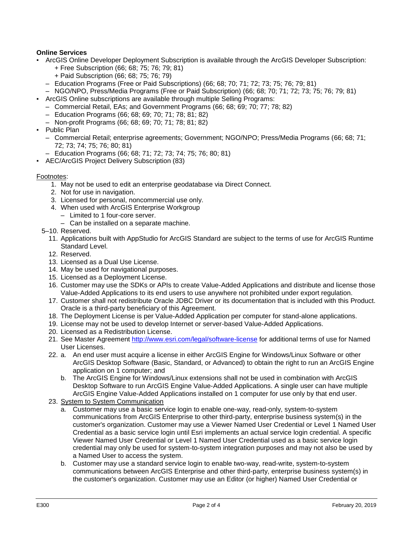# **Online Services**

- ArcGIS Online Developer Deployment Subscription is available through the ArcGIS Developer Subscription: + Free Subscription (66; 68; 75; 76; 79; 81)
	- + Paid Subscription (66; 68; 75; 76; 79)
	- Education Programs (Free or Paid Subscriptions) (66; 68; 70; 71; 72; 73; 75; 76; 79; 81)
	- NGO/NPO, Press/Media Programs (Free or Paid Subscription) (66; 68; 70; 71; 72; 73; 75; 76; 79; 81)
- ArcGIS Online subscriptions are available through multiple Selling Programs:
	- Commercial Retail, EAs; and Government Programs (66; 68; 69; 70; 77; 78; 82)
		- Education Programs (66; 68; 69; 70; 71; 78; 81; 82)
		- Non-profit Programs (66; 68; 69; 70; 71; 78; 81; 82)
- Public Plan
	- Commercial Retail; enterprise agreements; Government; NGO/NPO; Press/Media Programs (66; 68; 71; 72; 73; 74; 75; 76; 80; 81)
	- Education Programs (66; 68; 71; 72; 73; 74; 75; 76; 80; 81)
- AEC/ArcGIS Project Delivery Subscription (83)

#### Footnotes:

- 1. May not be used to edit an enterprise geodatabase via Direct Connect.
- 2. Not for use in navigation.
- 3. Licensed for personal, noncommercial use only.
- 4. When used with ArcGIS Enterprise Workgroup
	- Limited to 1 four-core server.
	- Can be installed on a separate machine.
- 5–10. Reserved.
	- 11. Applications built with AppStudio for ArcGIS Standard are subject to the terms of use for ArcGIS Runtime Standard Level.
	- 12. Reserved.
	- 13. Licensed as a Dual Use License.
	- 14. May be used for navigational purposes.
	- 15. Licensed as a Deployment License.
	- 16. Customer may use the SDKs or APIs to create Value-Added Applications and distribute and license those Value-Added Applications to its end users to use anywhere not prohibited under export regulation.
	- 17. Customer shall not redistribute Oracle JDBC Driver or its documentation that is included with this Product. Oracle is a third-party beneficiary of this Agreement.
	- 18. The Deployment License is per Value-Added Application per computer for stand-alone applications.
	- 19. License may not be used to develop Internet or server-based Value-Added Applications.
	- 20. Licensed as a Redistribution License.
	- 21. See Master Agreement<http://www.esri.com/legal/software-license> for additional terms of use for Named User Licenses.
	- 22. a. An end user must acquire a license in either ArcGIS Engine for Windows/Linux Software or other ArcGIS Desktop Software (Basic, Standard, or Advanced) to obtain the right to run an ArcGIS Engine application on 1 computer; and
		- b. The ArcGIS Engine for Windows/Linux extensions shall not be used in combination with ArcGIS Desktop Software to run ArcGIS Engine Value-Added Applications. A single user can have multiple ArcGIS Engine Value-Added Applications installed on 1 computer for use only by that end user.
	- 23. System to System Communication
		- a. Customer may use a basic service login to enable one-way, read-only, system-to-system communications from ArcGIS Enterprise to other third-party, enterprise business system(s) in the customer's organization. Customer may use a Viewer Named User Credential or Level 1 Named User Credential as a basic service login until Esri implements an actual service login credential. A specific Viewer Named User Credential or Level 1 Named User Credential used as a basic service login credential may only be used for system-to-system integration purposes and may not also be used by a Named User to access the system.
		- b. Customer may use a standard service login to enable two-way, read-write, system-to-system communications between ArcGIS Enterprise and other third-party, enterprise business system(s) in the customer's organization. Customer may use an Editor (or higher) Named User Credential or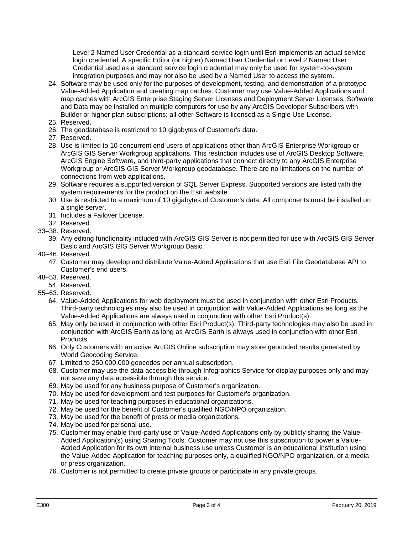Level 2 Named User Credential as a standard service login until Esri implements an actual service login credential. A specific Editor (or higher) Named User Credential or Level 2 Named User Credential used as a standard service login credential may only be used for system-to-system integration purposes and may not also be used by a Named User to access the system.

- 24. Software may be used only for the purposes of development, testing, and demonstration of a prototype Value-Added Application and creating map caches. Customer may use Value-Added Applications and map caches with ArcGIS Enterprise Staging Server Licenses and Deployment Server Licenses. Software and Data may be installed on multiple computers for use by any ArcGIS Developer Subscribers with Builder or higher plan subscriptions; all other Software is licensed as a Single Use License.
- 25. Reserved.
- 26. The geodatabase is restricted to 10 gigabytes of Customer's data.
- 27. Reserved.
- 28. Use is limited to 10 concurrent end users of applications other than ArcGIS Enterprise Workgroup or ArcGIS GIS Server Workgroup applications. This restriction includes use of ArcGIS Desktop Software, ArcGIS Engine Software, and third-party applications that connect directly to any ArcGIS Enterprise Workgroup or ArcGIS GIS Server Workgroup geodatabase. There are no limitations on the number of connections from web applications.
- 29. Software requires a supported version of SQL Server Express. Supported versions are listed with the system requirements for the product on the Esri website.
- 30. Use is restricted to a maximum of 10 gigabytes of Customer's data. All components must be installed on a single server.
- 31. Includes a Failover License.
- 32. Reserved.
- 33–38. Reserved.
	- 39. Any editing functionality included with ArcGIS GIS Server is not permitted for use with ArcGIS GIS Server Basic and ArcGIS GIS Server Workgroup Basic.
- 40–46. Reserved.
	- 47. Customer may develop and distribute Value-Added Applications that use Esri File Geodatabase API to Customer's end users.
- 48–53. Reserved.
- 54. Reserved.
- 55–63. Reserved.
	- 64. Value-Added Applications for web deployment must be used in conjunction with other Esri Products. Third-party technologies may also be used in conjunction with Value-Added Applications as long as the Value-Added Applications are always used in conjunction with other Esri Product(s).
	- 65. May only be used in conjunction with other Esri Product(s). Third-party technologies may also be used in conjunction with ArcGIS Earth as long as ArcGIS Earth is always used in conjunction with other Esri Products.
	- 66. Only Customers with an active ArcGIS Online subscription may store geocoded results generated by World Geocoding Service.
	- 67. Limited to 250,000,000 geocodes per annual subscription.
	- 68. Customer may use the data accessible through Infographics Service for display purposes only and may not save any data accessible through this service.
	- 69. May be used for any business purpose of Customer's organization.
	- 70. May be used for development and test purposes for Customer's organization.
	- 71. May be used for teaching purposes in educational organizations.
	- 72. May be used for the benefit of Customer's qualified NGO/NPO organization.
	- 73. May be used for the benefit of press or media organizations.
	- 74. May be used for personal use.
	- 75. Customer may enable third-party use of Value-Added Applications only by publicly sharing the Value-Added Application(s) using Sharing Tools. Customer may not use this subscription to power a Value-Added Application for its own internal business use unless Customer is an educational institution using the Value-Added Application for teaching purposes only, a qualified NGO/NPO organization, or a media or press organization.
	- 76. Customer is not permitted to create private groups or participate in any private groups.